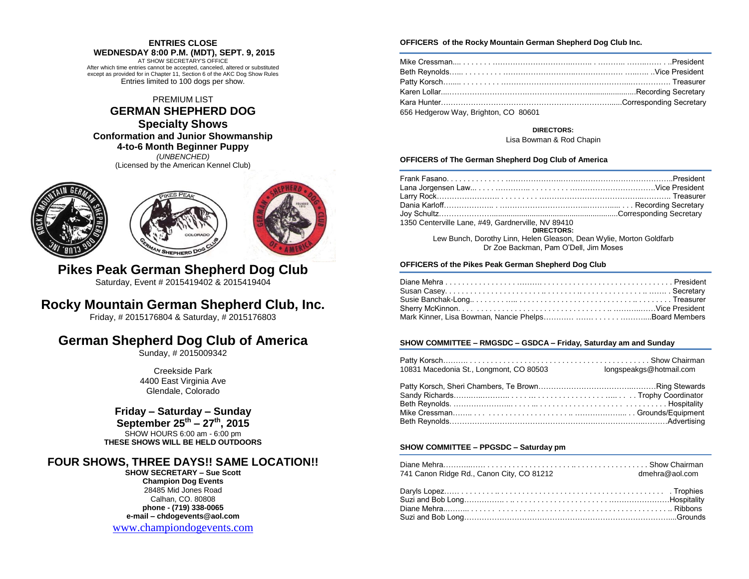## **ENTRIES CLOSE**

**WEDNESDAY 8:00 P.M. (MDT), SEPT. 9, 2015** AT SHOW SECRETARY'S OFFICE After which time entries cannot be accepted, canceled, altered or substituted except as provided for in Chapter 11, Section 6 of the AKC Dog Show Rules Entries limited to 100 dogs per show.

## PREMIUM LIST

## **GERMAN SHEPHERD DOG**

## **Specialty Shows**

**Conformation and Junior Showmanship**

**4-to-6 Month Beginner Puppy**

*(UNBENCHED)* (Licensed by the American Kennel Club)







**Pikes Peak German Shepherd Dog Club** Saturday, Event # 2015419402 & 2015419404

## **Rocky Mountain German Shepherd Club, Inc.**

Friday, # 2015176804 & Saturday, # 2015176803

## **German Shepherd Dog Club of America**

Sunday, # 2015009342

Creekside Park 4400 East Virginia Ave Glendale, Colorado

## **Friday – Saturday – Sunday**

**September 25th – 27th, 2015** SHOW HOURS 6:00 am - 6:00 pm **THESE SHOWS WILL BE HELD OUTDOORS**

## **FOUR SHOWS, THREE DAYS!! SAME LOCATION!!**

**SHOW SECRETARY – Sue Scott Champion Dog Events** 28485 Mid Jones Road Calhan, CO. 80808 **phone - (719) 338-0065 e-mail – chdogevents@aol.com**

[www.championdogevents.com](http://www.championdogevents.com/)

### **OFFICERS of the Rocky Mountain German Shepherd Dog Club Inc.**

| 656 Hedgerow Way, Brighton, CO 80601 |  |
|--------------------------------------|--|

## **DIRECTORS:**

Lisa Bowman & Rod Chapin

## **OFFICERS of The German Shepherd Dog Club of America**

| 1350 Centerville Lane, #49, Gardnerville, NV 89410                  |  |
|---------------------------------------------------------------------|--|
| DIRECTORS:                                                          |  |
| Lew Bunch, Dorothy Linn, Helen Gleason, Dean Wylie, Morton Goldfarb |  |
| Dr Zoe Backman, Pam O'Dell, Jim Moses                               |  |
|                                                                     |  |

## **OFFICERS of the Pikes Peak German Shepherd Dog Club**

## **SHOW COMMITTEE – RMGSDC – GSDCA – Friday, Saturday am and Sunday**

| 10831 Macedonia St., Longmont, CO 80503 | longspeakgs@hotmail.com |
|-----------------------------------------|-------------------------|
|                                         |                         |
| <b>Beth Revnolds</b>                    | Hosnitality             |

## **SHOW COMMITTEE – PPGSDC – Saturday pm**

| 741 Canon Ridge Rd., Canon City, CO 81212<br>dmehra@aol.com |  |
|-------------------------------------------------------------|--|
|                                                             |  |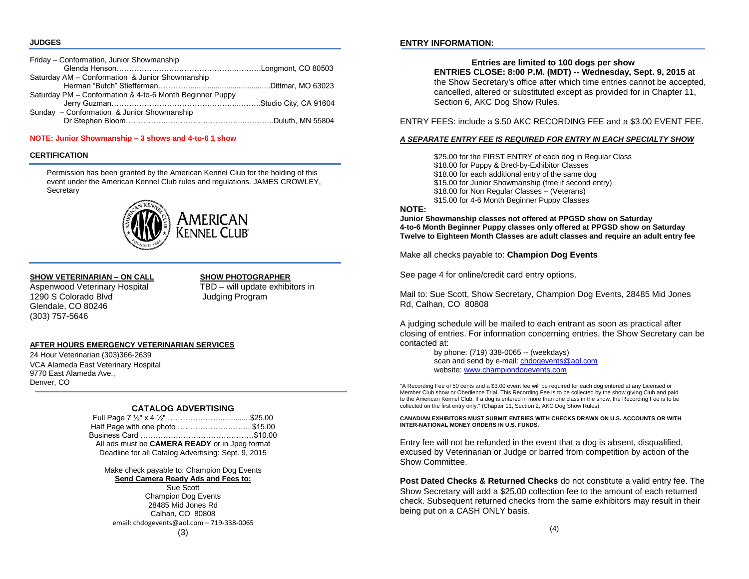#### **JUDGES**

| Friday - Conformation, Junior Showmanship                |  |
|----------------------------------------------------------|--|
|                                                          |  |
| Saturday AM - Conformation & Junior Showmanship          |  |
|                                                          |  |
| Saturday PM - Conformation & 4-to-6 Month Beginner Puppy |  |
|                                                          |  |
| Sunday - Conformation & Junior Showmanship               |  |
|                                                          |  |

#### **NOTE: Junior Showmanship – 3 shows and 4-to-6 1 show**

## **CERTIFICATION**

Permission has been granted by the American Kennel Club for the holding of this event under the American Kennel Club rules and regulations. JAMES CROWLEY, **Secretary** 



## **SHOW VETERINARIAN – ON CALL SHOW PHOTOGRAPHER**

Aspenwood Veterinary Hospital TBD – will update exhibitors in 1290 S Colorado Blvd **International Coloration** Judging Program Glendale, CO 80246 (303) 757-5646

## **AFTER HOURS EMERGENCY VETERINARIAN SERVICES**

24 Hour Veterinarian (303)366-2639 VCA Alameda East Veterinary Hospital 9770 East Alameda Ave., Denver, CO

## **CATALOG ADVERTISING**

| Half Page with one photo \$15.00                      |  |
|-------------------------------------------------------|--|
| Business Card ………………………………………\$10.00                  |  |
| All ads must be <b>CAMERA READY</b> or in Jpeg format |  |
| Deadline for all Catalog Advertising: Sept. 9, 2015   |  |

Make check payable to: Champion Dog Events **Send Camera Ready Ads and Fees to:**

Sue Scott Champion Dog Events 28485 Mid Jones Rd Calhan, CO 80808 email: chdogevents@aol.com – 719-338-0065

## **ENTRY INFORMATION:**

## **Entries are limited to 100 dogs per show**

**ENTRIES CLOSE: 8:00 P.M. (MDT) -- Wednesday, Sept. 9, 2015** at the Show Secretary's office after which time entries cannot be accepted, cancelled, altered or substituted except as provided for in Chapter 11, Section 6, AKC Dog Show Rules.

ENTRY FEES: include a \$.50 AKC RECORDING FEE and a \$3.00 EVENT FEE.

## *A SEPARATE ENTRY FEE IS REQUIRED FOR ENTRY IN EACH SPECIALTY SHOW*

\$25.00 for the FIRST ENTRY of each dog in Regular Class \$18.00 for Puppy & Bred-by-Exhibitor Classes \$18.00 for each additional entry of the same dog \$15.00 for Junior Showmanship (free if second entry) \$18.00 for Non Regular Classes – (Veterans) \$15.00 for 4-6 Month Beginner Puppy Classes

## **NOTE:**

**Junior Showmanship classes not offered at PPGSD show on Saturday 4-to-6 Month Beginner Puppy classes only offered at PPGSD show on Saturday Twelve to Eighteen Month Classes are adult classes and require an adult entry fee**

Make all checks payable to: **Champion Dog Events**

See page 4 for online/credit card entry options.

Mail to: Sue Scott, Show Secretary, Champion Dog Events, 28485 Mid Jones Rd, Calhan, CO 80808

A judging schedule will be mailed to each entrant as soon as practical after closing of entries. For information concerning entries, the Show Secretary can be contacted at:

> by phone: (719) 338-0065 -- (weekdays) scan and send by e-mail[: chdogevents@aol.com](mailto:chdogevents@aol.com) website[: www.championdogevents.com](http://www.championdogevents.com/)

"A Recording Fee of 50 cents and a \$3.00 event fee will be required for each dog entered at any Licensed or Member Club show or Obedience Trial. This Recording Fee is to be collected by the show giving Club and paid to the American Kennel Club. If a dog is entered in more than one class in the show, the Recording Fee is to be collected on the first entry only." (Chapter 11, Section 2, AKC Dog Show Rules).

**CANADIAN EXHIBITORS MUST SUBMIT ENTRIES WITH CHECKS DRAWN ON U.S. ACCOUNTS OR WITH INTER-NATIONAL MONEY ORDERS IN U.S. FUNDS.**

Entry fee will not be refunded in the event that a dog is absent, disqualified, excused by Veterinarian or Judge or barred from competition by action of the Show Committee.

**Post Dated Checks & Returned Checks** do not constitute a valid entry fee. The Show Secretary will add a \$25.00 collection fee to the amount of each returned check. Subsequent returned checks from the same exhibitors may result in their being put on a CASH ONLY basis.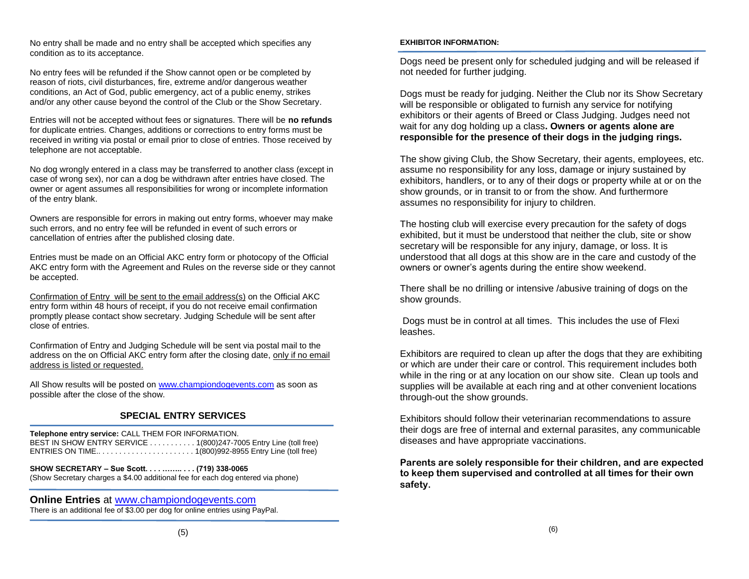No entry shall be made and no entry shall be accepted which specifies any condition as to its acceptance.

No entry fees will be refunded if the Show cannot open or be completed by reason of riots, civil disturbances, fire, extreme and/or dangerous weather conditions, an Act of God, public emergency, act of a public enemy, strikes and/or any other cause beyond the control of the Club or the Show Secretary.

Entries will not be accepted without fees or signatures. There will be **no refunds**  for duplicate entries. Changes, additions or corrections to entry forms must be received in writing via postal or email prior to close of entries. Those received by telephone are not acceptable.

No dog wrongly entered in a class may be transferred to another class (except in case of wrong sex), nor can a dog be withdrawn after entries have closed. The owner or agent assumes all responsibilities for wrong or incomplete information of the entry blank.

Owners are responsible for errors in making out entry forms, whoever may make such errors, and no entry fee will be refunded in event of such errors or cancellation of entries after the published closing date.

Entries must be made on an Official AKC entry form or photocopy of the Official AKC entry form with the Agreement and Rules on the reverse side or they cannot be accepted.

Confirmation of Entry will be sent to the email address(s) on the Official AKC entry form within 48 hours of receipt, if you do not receive email confirmation promptly please contact show secretary. Judging Schedule will be sent after close of entries.

Confirmation of Entry and Judging Schedule will be sent via postal mail to the address on the on Official AKC entry form after the closing date, only if no email address is listed or requested.

All Show results will be posted o[n www.championdogevents.com](http://www.championdogevents.com/) as soon as possible after the close of the show.

## **SPECIAL ENTRY SERVICES**

**Telephone entry service:** CALL THEM FOR INFORMATION. BEST IN SHOW ENTRY SERVICE . . . . . . . . . . . 1(800)247-7005 Entry Line (toll free) ENTRIES ON TIME.. . . . . . . . . . . . . . . . . . . . . . . 1(800)992-8955 Entry Line (toll free)

**SHOW SECRETARY – Sue Scott. . . . …….. . . . (719) 338-0065** (Show Secretary charges a \$4.00 additional fee for each dog entered via phone)

**Online Entries** at [www.championdogevents.com](http://www.championdogevents.com/) There is an additional fee of \$3.00 per dog for online entries using PayPal.

## **EXHIBITOR INFORMATION:**

Dogs need be present only for scheduled judging and will be released if not needed for further judging.

Dogs must be ready for judging. Neither the Club nor its Show Secretary will be responsible or obligated to furnish any service for notifying exhibitors or their agents of Breed or Class Judging. Judges need not wait for any dog holding up a class**. Owners or agents alone are responsible for the presence of their dogs in the judging rings.**

The show giving Club, the Show Secretary, their agents, employees, etc. assume no responsibility for any loss, damage or injury sustained by exhibitors, handlers, or to any of their dogs or property while at or on the show grounds, or in transit to or from the show. And furthermore assumes no responsibility for injury to children.

The hosting club will exercise every precaution for the safety of dogs exhibited, but it must be understood that neither the club, site or show secretary will be responsible for any injury, damage, or loss. It is understood that all dogs at this show are in the care and custody of the owners or owner's agents during the entire show weekend.

There shall be no drilling or intensive /abusive training of dogs on the show grounds.

Dogs must be in control at all times. This includes the use of Flexi leashes.

Exhibitors are required to clean up after the dogs that they are exhibiting or which are under their care or control. This requirement includes both while in the ring or at any location on our show site. Clean up tools and supplies will be available at each ring and at other convenient locations through-out the show grounds.

Exhibitors should follow their veterinarian recommendations to assure their dogs are free of internal and external parasites, any communicable diseases and have appropriate vaccinations.

**Parents are solely responsible for their children, and are expected to keep them supervised and controlled at all times for their own safety.**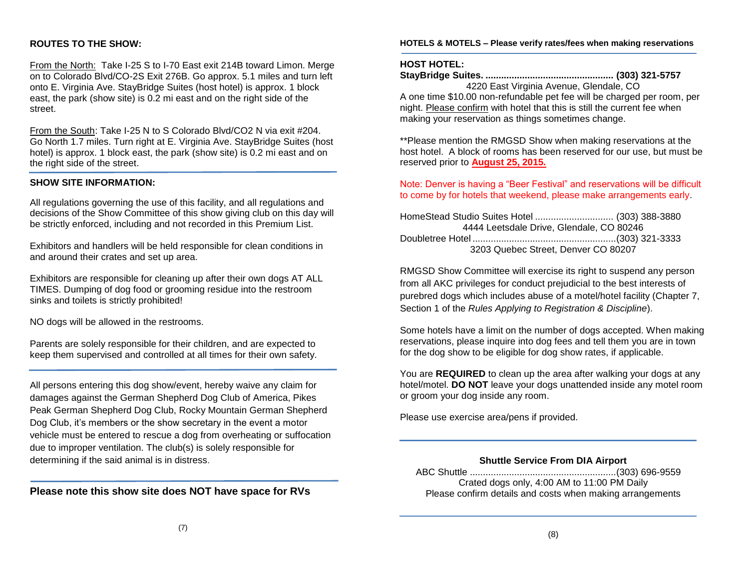## **ROUTES TO THE SHOW:**

From the North: Take I-25 S to I-70 East exit 214B toward Limon. Merge on to Colorado Blvd/CO-2S Exit 276B. Go approx. 5.1 miles and turn left onto E. Virginia Ave. StayBridge Suites (host hotel) is approx. 1 block east, the park (show site) is 0.2 mi east and on the right side of the street.

From the South: Take I-25 N to S Colorado Blvd/CO2 N via exit #204. Go North 1.7 miles. Turn right at E. Virginia Ave. StayBridge Suites (host hotel) is approx. 1 block east, the park (show site) is 0.2 mi east and on the right side of the street.

## **SHOW SITE INFORMATION:**

All regulations governing the use of this facility, and all regulations and decisions of the Show Committee of this show giving club on this day will be strictly enforced, including and not recorded in this Premium List.

Exhibitors and handlers will be held responsible for clean conditions in and around their crates and set up area.

Exhibitors are responsible for cleaning up after their own dogs AT ALL TIMES. Dumping of dog food or grooming residue into the restroom sinks and toilets is strictly prohibited!

NO dogs will be allowed in the restrooms.

Parents are solely responsible for their children, and are expected to keep them supervised and controlled at all times for their own safety.

All persons entering this dog show/event, hereby waive any claim for damages against the German Shepherd Dog Club of America, Pikes Peak German Shepherd Dog Club, Rocky Mountain German Shepherd Dog Club, it's members or the show secretary in the event a motor vehicle must be entered to rescue a dog from overheating or suffocation due to improper ventilation. The club(s) is solely responsible for determining if the said animal is in distress.

**Please note this show site does NOT have space for RVs**

**HOTELS & MOTELS – Please verify rates/fees when making reservations**

## **HOST HOTEL:**

**StayBridge Suites. ................................................. (303) 321-5757** 4220 East Virginia Avenue, Glendale, CO

A one time \$10.00 non-refundable pet fee will be charged per room, per night. Please confirm with hotel that this is still the current fee when making your reservation as things sometimes change.

\*\*Please mention the RMGSD Show when making reservations at the host hotel. A block of rooms has been reserved for our use, but must be reserved prior to **August 25, 2015.**

Note: Denver is having a "Beer Festival" and reservations will be difficult to come by for hotels that weekend, please make arrangements early.

HomeStead Studio Suites Hotel .............................. (303) 388-3880 4444 Leetsdale Drive, Glendale, CO 80246 Doubletree Hotel .......................................................(303) 321-3333 3203 Quebec Street, Denver CO 80207

RMGSD Show Committee will exercise its right to suspend any person from all AKC privileges for conduct prejudicial to the best interests of purebred dogs which includes abuse of a motel/hotel facility (Chapter 7, Section 1 of the *Rules Applying to Registration & Discipline*).

Some hotels have a limit on the number of dogs accepted. When making reservations, please inquire into dog fees and tell them you are in town for the dog show to be eligible for dog show rates, if applicable.

You are **REQUIRED** to clean up the area after walking your dogs at any hotel/motel. **DO NOT** leave your dogs unattended inside any motel room or groom your dog inside any room.

Please use exercise area/pens if provided.

**Shuttle Service From DIA Airport**

 ABC Shuttle ........................................................(303) 696-9559 Crated dogs only, 4:00 AM to 11:00 PM Daily Please confirm details and costs when making arrangements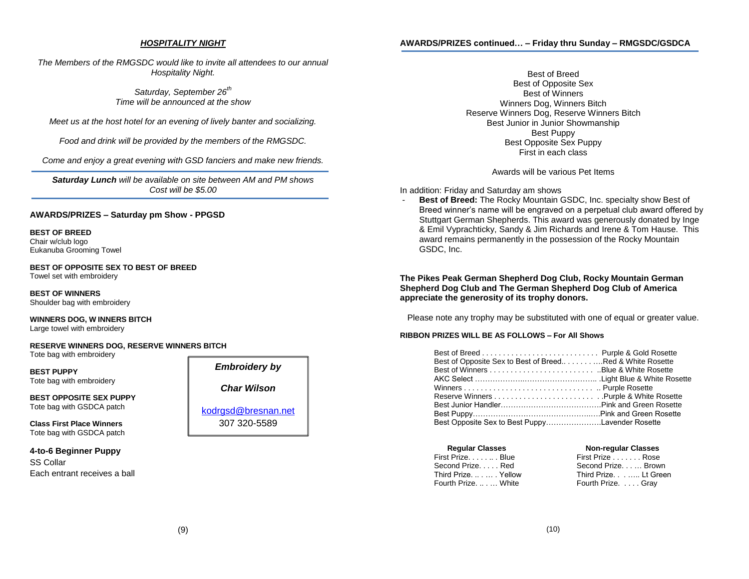#### *HOSPITALITY NIGHT*

**AWARDS/PRIZES continued… – Friday thru Sunday – RMGSDC/GSDCA**

*The Members of the RMGSDC would like to invite all attendees to our annual Hospitality Night.*

> *Saturday, September 26th Time will be announced at the show*

*Meet us at the host hotel for an evening of lively banter and socializing.*

*Food and drink will be provided by the members of the RMGSDC.*

*Come and enjoy a great evening with GSD fanciers and make new friends.*

*Saturday Lunch will be available on site between AM and PM shows Cost will be \$5.00*

#### **AWARDS/PRIZES – Saturday pm Show - PPGSD**

**BEST OF BREED**  Chair w/club logo Eukanuba Grooming Towel

**BEST OF OPPOSITE SEX TO BEST OF BREED** Towel set with embroidery

**BEST OF WINNERS** Shoulder bag with embroidery

**WINNERS DOG, W INNERS BITCH** Large towel with embroidery

**RESERVE WINNERS DOG, RESERVE WINNERS BITCH** Tote bag with embroidery

**BEST PUPPY** Tote bag with embroidery

**BEST OPPOSITE SEX PUPPY**  Tote bag with GSDCA patch

**Class First Place Winners** Tote bag with GSDCA patch

## **4-to-6 Beginner Puppy** SS Collar

Each entrant receives a ball

# *Embroidery by Char Wilson*

[kodrgsd@bresnan.net](mailto:kodrgsd@bresnan.net) 307 320-5589

Best of Breed Best of Opposite Sex Best of Winners Winners Dog, Winners Bitch Reserve Winners Dog, Reserve Winners Bitch Best Junior in Junior Showmanship Best Puppy Best Opposite Sex Puppy First in each class

Awards will be various Pet Items

#### In addition: Friday and Saturday am shows

- **Best of Breed:** The Rocky Mountain GSDC, Inc. specialty show Best of Breed winner's name will be engraved on a perpetual club award offered by Stuttgart German Shepherds. This award was generously donated by Inge & Emil Vyprachticky, Sandy & Jim Richards and Irene & Tom Hause. This award remains permanently in the possession of the Rocky Mountain GSDC, Inc.

## **The Pikes Peak German Shepherd Dog Club, Rocky Mountain German Shepherd Dog Club and The German Shepherd Dog Club of America appreciate the generosity of its trophy donors.**

Please note any trophy may be substituted with one of equal or greater value.

#### **RIBBON PRIZES WILL BE AS FOLLOWS – For All Shows**

| Best of Opposite Sex to Best of BreedRed & White Rosette |  |
|----------------------------------------------------------|--|
|                                                          |  |
|                                                          |  |
|                                                          |  |
|                                                          |  |
|                                                          |  |
|                                                          |  |
| Best Opposite Sex to Best PuppyLavender Rosette          |  |

| <b>Regular Classes</b> | <b>Non-regular Classes</b> |  |
|------------------------|----------------------------|--|
| First PrizeBlue        | First Prize Rose           |  |
| Second PrizeRed        | Second Prize Brown         |  |
| Third Prize.  Yellow   | Third Prize Lt Green       |  |
| Fourth Prize.  White   | Fourth Prize. Gray         |  |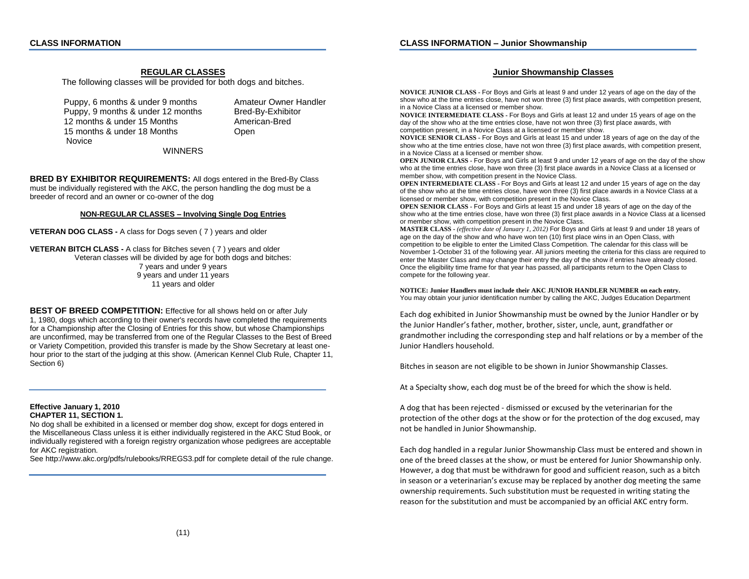## **REGULAR CLASSES**

The following classes will be provided for both dogs and bitches.

Puppy, 6 months & under 9 months Amateur Owner Handler Puppy, 9 months & under 12 months Bred-By-Exhibitor 12 months & under 15 Months American-Bred 15 months & under 18 Months **Communis** Open Novice

WINNERS

**BRED BY EXHIBITOR REQUIREMENTS:** All dogs entered in the Bred-By Class must be individually registered with the AKC, the person handling the dog must be a breeder of record and an owner or co-owner of the dog

#### **NON-REGULAR CLASSES – Involving Single Dog Entries**

**VETERAN DOG CLASS -** A class for Dogs seven ( 7 ) years and older

**VETERAN BITCH CLASS -** A class for Bitches seven ( 7 ) years and older Veteran classes will be divided by age for both dogs and bitches: 7 years and under 9 years 9 years and under 11 years 11 years and older

**BEST OF BREED COMPETITION:** Effective for all shows held on or after July 1, 1980, dogs which according to their owner's records have completed the requirements for a Championship after the Closing of Entries for this show, but whose Championships are unconfirmed, may be transferred from one of the Regular Classes to the Best of Breed or Variety Competition, provided this transfer is made by the Show Secretary at least onehour prior to the start of the judging at this show. (American Kennel Club Rule, Chapter 11, Section 6)

## **Effective January 1, 2010 CHAPTER 11, SECTION 1.**

No dog shall be exhibited in a licensed or member dog show, except for dogs entered in the Miscellaneous Class unless it is either individually registered in the AKC Stud Book, or individually registered with a foreign registry organization whose pedigrees are acceptable for AKC registration.

See http://www.akc.org/pdfs/rulebooks/RREGS3.pdf for complete detail of the rule change.

## **Junior Showmanship Classes**

**NOVICE JUNIOR CLASS -** For Boys and Girls at least 9 and under 12 years of age on the day of the show who at the time entries close, have not won three (3) first place awards, with competition present, in a Novice Class at a licensed or member show.

**NOVICE INTERMEDIATE CLASS -** For Boys and Girls at least 12 and under 15 years of age on the day of the show who at the time entries close, have not won three (3) first place awards, with competition present, in a Novice Class at a licensed or member show.

**NOVICE SENIOR CLASS -** For Boys and Girls at least 15 and under 18 years of age on the day of the show who at the time entries close, have not won three (3) first place awards, with competition present, in a Novice Class at a licensed or member show.

**OPEN JUNIOR CLASS -** For Boys and Girls at least 9 and under 12 years of age on the day of the show who at the time entries close, have won three (3) first place awards in a Novice Class at a licensed or member show, with competition present in the Novice Class.

**OPEN INTERMEDIATE CLASS -** For Boys and Girls at least 12 and under 15 years of age on the day of the show who at the time entries close, have won three (3) first place awards in a Novice Class at a licensed or member show, with competition present in the Novice Class.

**OPEN SENIOR CLASS -** For Boys and Girls at least 15 and under 18 years of age on the day of the show who at the time entries close, have won three (3) first place awards in a Novice Class at a licensed or member show, with competition present in the Novice Class.

**MASTER CLASS -** *(effective date of January 1, 2012)* For Boys and Girls at least 9 and under 18 years of age on the day of the show and who have won ten (10) first place wins in an Open Class, with competition to be eligible to enter the Limited Class Competition. The calendar for this class will be November 1-October 31 of the following year. All juniors meeting the criteria for this class are required to enter the Master Class and may change their entry the day of the show if entries have already closed. Once the eligibility time frame for that year has passed, all participants return to the Open Class to compete for the following year.

**NOTICE: Junior Handlers must include their AKC JUNIOR HANDLER NUMBER on each entry.** You may obtain your junior identification number by calling the AKC, Judges Education Department

Each dog exhibited in Junior Showmanship must be owned by the Junior Handler or by the Junior Handler's father, mother, brother, sister, uncle, aunt, grandfather or grandmother including the corresponding step and half relations or by a member of the Junior Handlers household.

Bitches in season are not eligible to be shown in Junior Showmanship Classes.

At a Specialty show, each dog must be of the breed for which the show is held.

A dog that has been rejected - dismissed or excused by the veterinarian for the protection of the other dogs at the show or for the protection of the dog excused, may not be handled in Junior Showmanship.

Each dog handled in a regular Junior Showmanship Class must be entered and shown in one of the breed classes at the show, or must be entered for Junior Showmanship only. However, a dog that must be withdrawn for good and sufficient reason, such as a bitch in season or a veterinarian's excuse may be replaced by another dog meeting the same ownership requirements. Such substitution must be requested in writing stating the reason for the substitution and must be accompanied by an official AKC entry form.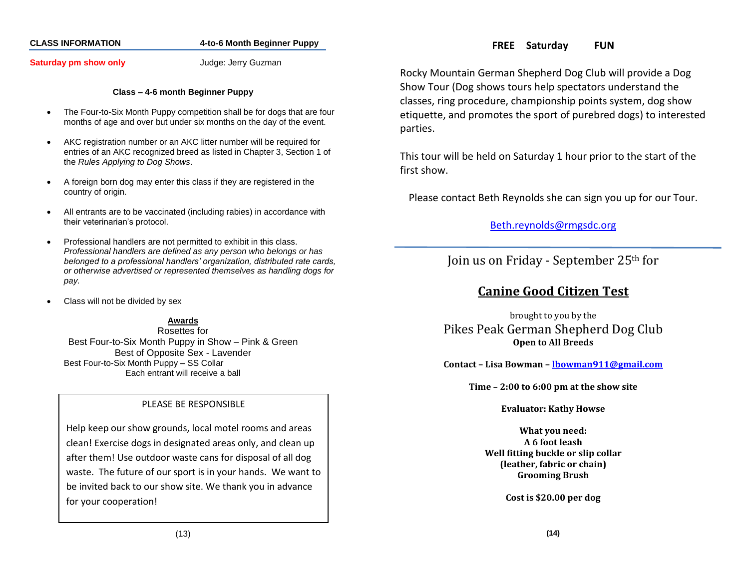## **CLASS INFORMATION 4-to-6 Month Beginner Puppy**

## **Saturday pm show only Saturday pm show only Judge: Jerry Guzman**

## **Class – 4-6 month Beginner Puppy**

- The Four-to-Six Month Puppy competition shall be for dogs that are four months of age and over but under six months on the day of the event.
- AKC registration number or an AKC litter number will be required for entries of an AKC recognized breed as listed in Chapter 3, Section 1 of the *Rules Applying to Dog Shows*.
- A foreign born dog may enter this class if they are registered in the country of origin.
- All entrants are to be vaccinated (including rabies) in accordance with their veterinarian's protocol.
- Professional handlers are not permitted to exhibit in this class. *Professional handlers are defined as any person who belongs or has belonged to a professional handlers' organization, distributed rate cards, or otherwise advertised or represented themselves as handling dogs for pay.*
- Class will not be divided by sex

## **Awards**

Rosettes for Best Four-to-Six Month Puppy in Show – Pink & Green Best of Opposite Sex - Lavender Best Four-to-Six Month Puppy – SS Collar Each entrant will receive a ball

## PLEASE BE RESPONSIBLE

Help keep our show grounds, local motel rooms and areas clean! Exercise dogs in designated areas only, and clean up after them! Use outdoor waste cans for disposal of all dog waste. The future of our sport is in your hands. We want to be invited back to our show site. We thank you in advance for your cooperation!

Rocky Mountain German Shepherd Dog Club will provide a Dog Show Tour (Dog shows tours help spectators understand the classes, ring procedure, championship points system, dog show etiquette, and promotes the sport of purebred dogs) to interested parties.

This tour will be held on Saturday 1 hour prior to the start of the first show.

Please contact Beth Reynolds she can sign you up for our Tour.

[Beth.reynolds@rmgsdc.org](mailto:Beth.reynolds@rmgsdc.org)

Join us on Friday - September 25th for

## **Canine Good Citizen Test**

brought to you by the Pikes Peak German Shepherd Dog Club **Open to All Breeds**

**Contact – Lisa Bowman – [lbowman911@gmail.com](mailto:lbowman911@gmail.com)**

**Time – 2:00 to 6:00 pm at the show site**

**Evaluator: Kathy Howse**

**What you need: A 6 foot leash Well fitting buckle or slip collar (leather, fabric or chain) Grooming Brush**

**Cost is \$20.00 per dog**